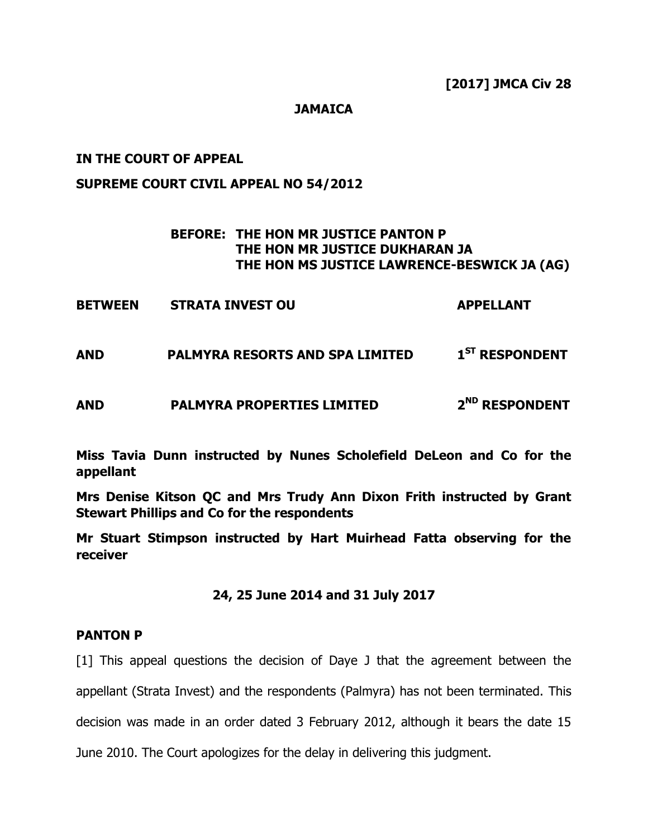### **JAMAICA**

### **IN THE COURT OF APPEAL**

### **SUPREME COURT CIVIL APPEAL NO 54/2012**

### **BEFORE: THE HON MR JUSTICE PANTON P THE HON MR JUSTICE DUKHARAN JA THE HON MS JUSTICE LAWRENCE-BESWICK JA (AG)**

| <b>BETWEEN</b> | <b>STRATA INVEST OU</b> | <b>APPELLANT</b> |
|----------------|-------------------------|------------------|
|----------------|-------------------------|------------------|

**AND PALMYRA RESORTS AND SPA LIMITED 1 ST RESPONDENT**

**AND PALMYRA PROPERTIES LIMITED 2 ND RESPONDENT**

**Miss Tavia Dunn instructed by Nunes Scholefield DeLeon and Co for the appellant**

**Mrs Denise Kitson QC and Mrs Trudy Ann Dixon Frith instructed by Grant Stewart Phillips and Co for the respondents**

**Mr Stuart Stimpson instructed by Hart Muirhead Fatta observing for the receiver**

### **24, 25 June 2014 and 31 July 2017**

#### **PANTON P**

[1] This appeal questions the decision of Daye J that the agreement between the appellant (Strata Invest) and the respondents (Palmyra) has not been terminated. This decision was made in an order dated 3 February 2012, although it bears the date 15 June 2010. The Court apologizes for the delay in delivering this judgment.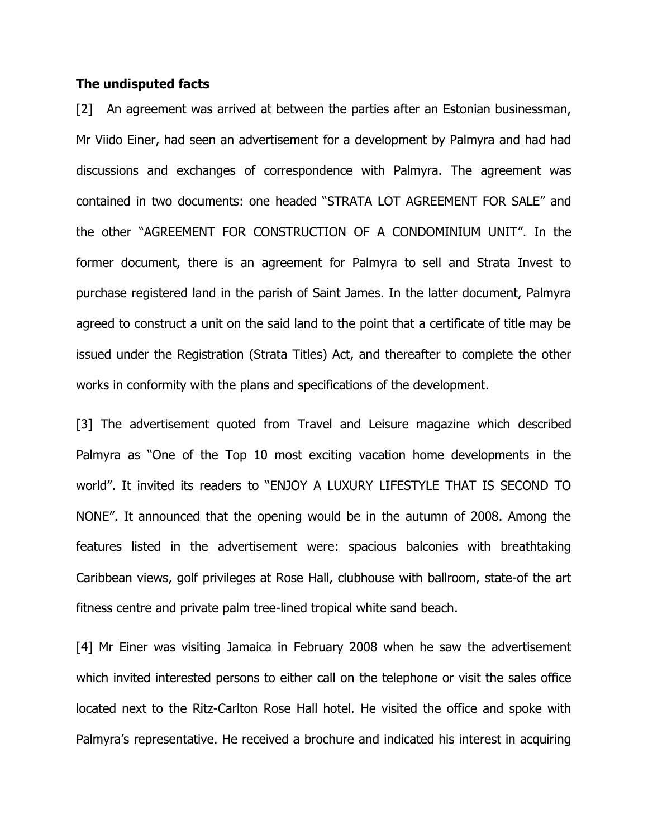### **The undisputed facts**

[2] An agreement was arrived at between the parties after an Estonian businessman, Mr Viido Einer, had seen an advertisement for a development by Palmyra and had had discussions and exchanges of correspondence with Palmyra. The agreement was contained in two documents: one headed "STRATA LOT AGREEMENT FOR SALE" and the other "AGREEMENT FOR CONSTRUCTION OF A CONDOMINIUM UNIT". In the former document, there is an agreement for Palmyra to sell and Strata Invest to purchase registered land in the parish of Saint James. In the latter document, Palmyra agreed to construct a unit on the said land to the point that a certificate of title may be issued under the Registration (Strata Titles) Act, and thereafter to complete the other works in conformity with the plans and specifications of the development.

[3] The advertisement quoted from Travel and Leisure magazine which described Palmyra as "One of the Top 10 most exciting vacation home developments in the world". It invited its readers to "ENJOY A LUXURY LIFESTYLE THAT IS SECOND TO NONE". It announced that the opening would be in the autumn of 2008. Among the features listed in the advertisement were: spacious balconies with breathtaking Caribbean views, golf privileges at Rose Hall, clubhouse with ballroom, state-of the art fitness centre and private palm tree-lined tropical white sand beach.

[4] Mr Einer was visiting Jamaica in February 2008 when he saw the advertisement which invited interested persons to either call on the telephone or visit the sales office located next to the Ritz-Carlton Rose Hall hotel. He visited the office and spoke with Palmyra's representative. He received a brochure and indicated his interest in acquiring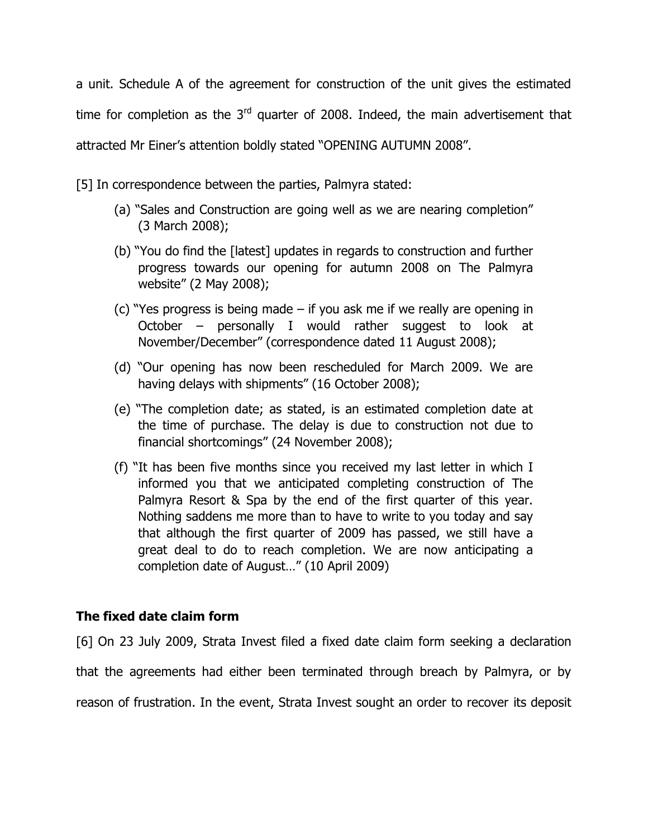a unit. Schedule A of the agreement for construction of the unit gives the estimated time for completion as the  $3<sup>rd</sup>$  quarter of 2008. Indeed, the main advertisement that attracted Mr Einer's attention boldly stated "OPENING AUTUMN 2008".

[5] In correspondence between the parties, Palmyra stated:

- (a) "Sales and Construction are going well as we are nearing completion" (3 March 2008);
- (b) "You do find the [latest] updates in regards to construction and further progress towards our opening for autumn 2008 on The Palmyra website" (2 May 2008);
- (c) "Yes progress is being made if you ask me if we really are opening in October – personally I would rather suggest to look at November/December" (correspondence dated 11 August 2008);
- (d) "Our opening has now been rescheduled for March 2009. We are having delays with shipments" (16 October 2008);
- (e) "The completion date; as stated, is an estimated completion date at the time of purchase. The delay is due to construction not due to financial shortcomings" (24 November 2008);
- (f) "It has been five months since you received my last letter in which I informed you that we anticipated completing construction of The Palmyra Resort & Spa by the end of the first quarter of this year. Nothing saddens me more than to have to write to you today and say that although the first quarter of 2009 has passed, we still have a great deal to do to reach completion. We are now anticipating a completion date of August…" (10 April 2009)

## **The fixed date claim form**

[6] On 23 July 2009, Strata Invest filed a fixed date claim form seeking a declaration that the agreements had either been terminated through breach by Palmyra, or by reason of frustration. In the event, Strata Invest sought an order to recover its deposit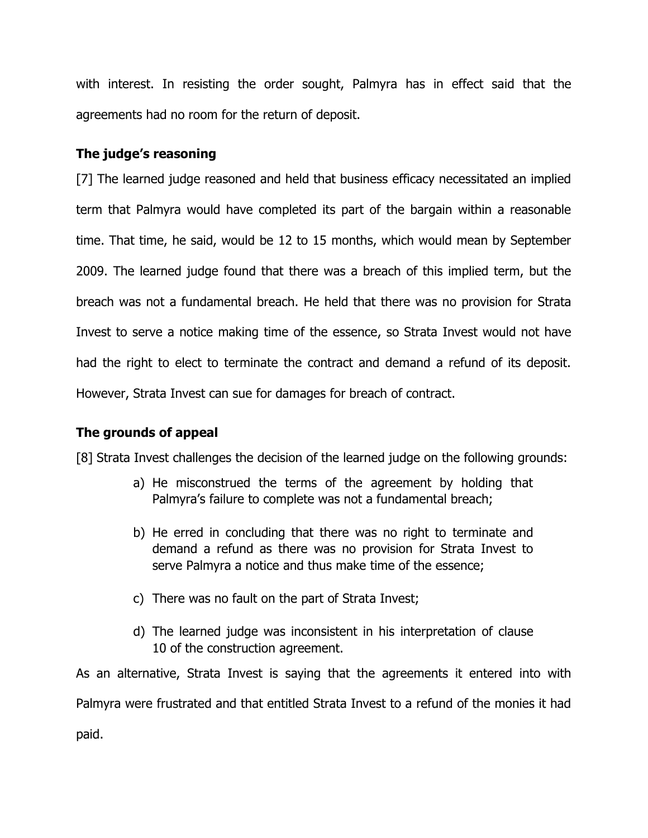with interest. In resisting the order sought, Palmyra has in effect said that the agreements had no room for the return of deposit.

### **The judge's reasoning**

[7] The learned judge reasoned and held that business efficacy necessitated an implied term that Palmyra would have completed its part of the bargain within a reasonable time. That time, he said, would be 12 to 15 months, which would mean by September 2009. The learned judge found that there was a breach of this implied term, but the breach was not a fundamental breach. He held that there was no provision for Strata Invest to serve a notice making time of the essence, so Strata Invest would not have had the right to elect to terminate the contract and demand a refund of its deposit. However, Strata Invest can sue for damages for breach of contract.

## **The grounds of appeal**

[8] Strata Invest challenges the decision of the learned judge on the following grounds:

- a) He misconstrued the terms of the agreement by holding that Palmyra's failure to complete was not a fundamental breach;
- b) He erred in concluding that there was no right to terminate and demand a refund as there was no provision for Strata Invest to serve Palmyra a notice and thus make time of the essence;
- c) There was no fault on the part of Strata Invest;
- d) The learned judge was inconsistent in his interpretation of clause 10 of the construction agreement.

As an alternative, Strata Invest is saying that the agreements it entered into with Palmyra were frustrated and that entitled Strata Invest to a refund of the monies it had paid.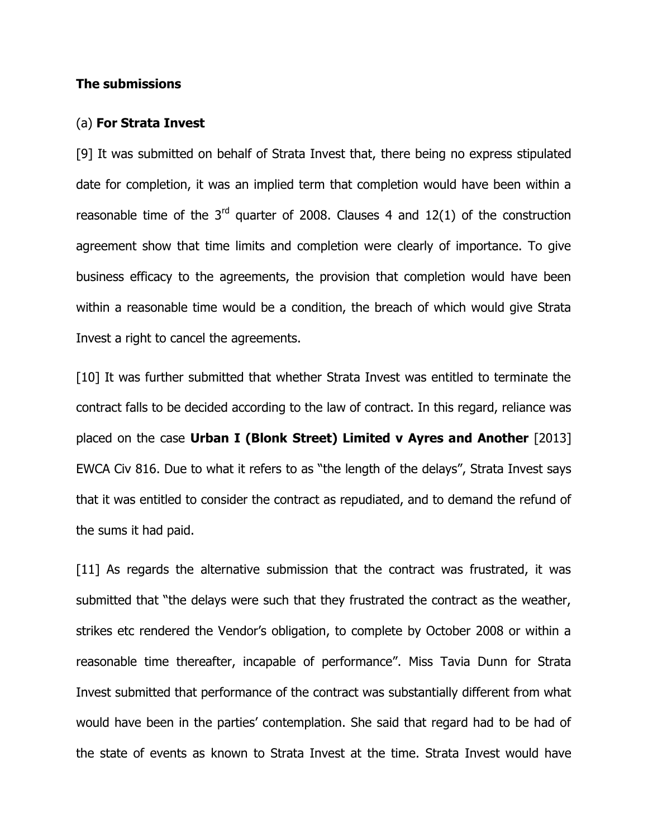### **The submissions**

#### (a) **For Strata Invest**

[9] It was submitted on behalf of Strata Invest that, there being no express stipulated date for completion, it was an implied term that completion would have been within a reasonable time of the  $3^{rd}$  quarter of 2008. Clauses 4 and 12(1) of the construction agreement show that time limits and completion were clearly of importance. To give business efficacy to the agreements, the provision that completion would have been within a reasonable time would be a condition, the breach of which would give Strata Invest a right to cancel the agreements.

[10] It was further submitted that whether Strata Invest was entitled to terminate the contract falls to be decided according to the law of contract. In this regard, reliance was placed on the case **Urban I (Blonk Street) Limited v Ayres and Another** [2013] EWCA Civ 816. Due to what it refers to as "the length of the delays", Strata Invest says that it was entitled to consider the contract as repudiated, and to demand the refund of the sums it had paid.

[11] As regards the alternative submission that the contract was frustrated, it was submitted that "the delays were such that they frustrated the contract as the weather, strikes etc rendered the Vendor's obligation, to complete by October 2008 or within a reasonable time thereafter, incapable of performance". Miss Tavia Dunn for Strata Invest submitted that performance of the contract was substantially different from what would have been in the parties' contemplation. She said that regard had to be had of the state of events as known to Strata Invest at the time. Strata Invest would have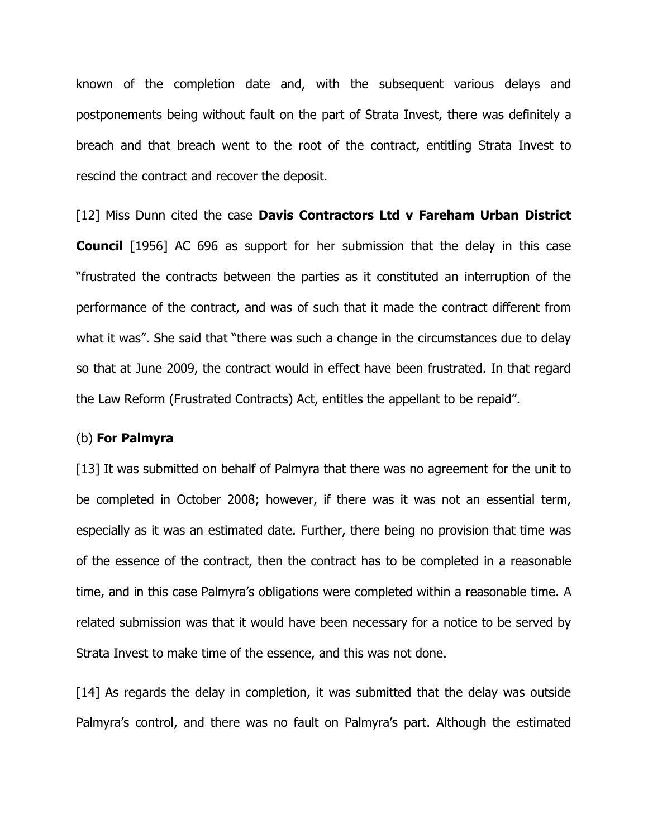known of the completion date and, with the subsequent various delays and postponements being without fault on the part of Strata Invest, there was definitely a breach and that breach went to the root of the contract, entitling Strata Invest to rescind the contract and recover the deposit.

[12] Miss Dunn cited the case **Davis Contractors Ltd v Fareham Urban District Council** [1956] AC 696 as support for her submission that the delay in this case "frustrated the contracts between the parties as it constituted an interruption of the performance of the contract, and was of such that it made the contract different from what it was". She said that "there was such a change in the circumstances due to delay so that at June 2009, the contract would in effect have been frustrated. In that regard the Law Reform (Frustrated Contracts) Act, entitles the appellant to be repaid".

#### (b) **For Palmyra**

[13] It was submitted on behalf of Palmyra that there was no agreement for the unit to be completed in October 2008; however, if there was it was not an essential term, especially as it was an estimated date. Further, there being no provision that time was of the essence of the contract, then the contract has to be completed in a reasonable time, and in this case Palmyra's obligations were completed within a reasonable time. A related submission was that it would have been necessary for a notice to be served by Strata Invest to make time of the essence, and this was not done.

[14] As regards the delay in completion, it was submitted that the delay was outside Palmyra's control, and there was no fault on Palmyra's part. Although the estimated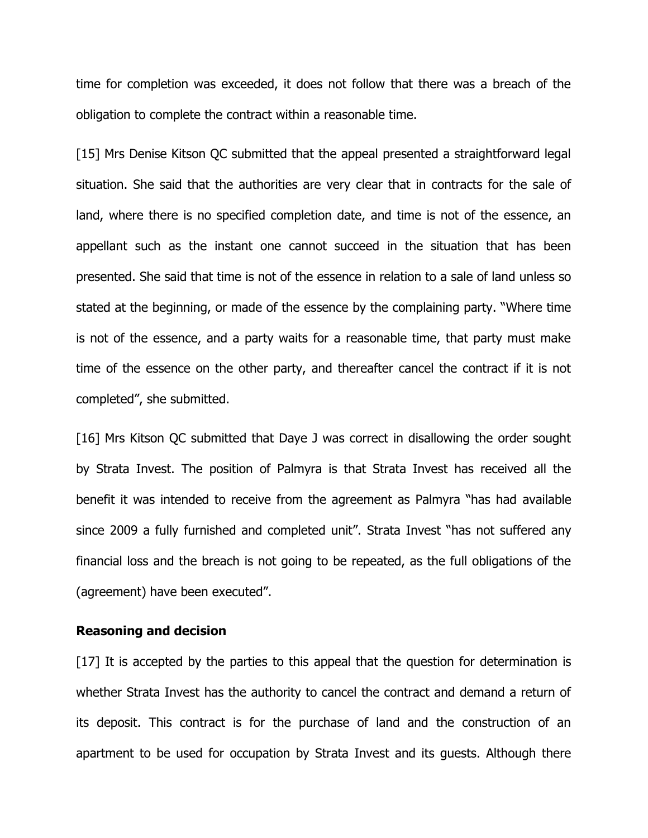time for completion was exceeded, it does not follow that there was a breach of the obligation to complete the contract within a reasonable time.

[15] Mrs Denise Kitson QC submitted that the appeal presented a straightforward legal situation. She said that the authorities are very clear that in contracts for the sale of land, where there is no specified completion date, and time is not of the essence, an appellant such as the instant one cannot succeed in the situation that has been presented. She said that time is not of the essence in relation to a sale of land unless so stated at the beginning, or made of the essence by the complaining party. "Where time is not of the essence, and a party waits for a reasonable time, that party must make time of the essence on the other party, and thereafter cancel the contract if it is not completed", she submitted.

[16] Mrs Kitson QC submitted that Daye J was correct in disallowing the order sought by Strata Invest. The position of Palmyra is that Strata Invest has received all the benefit it was intended to receive from the agreement as Palmyra "has had available since 2009 a fully furnished and completed unit". Strata Invest "has not suffered any financial loss and the breach is not going to be repeated, as the full obligations of the (agreement) have been executed".

### **Reasoning and decision**

[17] It is accepted by the parties to this appeal that the question for determination is whether Strata Invest has the authority to cancel the contract and demand a return of its deposit. This contract is for the purchase of land and the construction of an apartment to be used for occupation by Strata Invest and its guests. Although there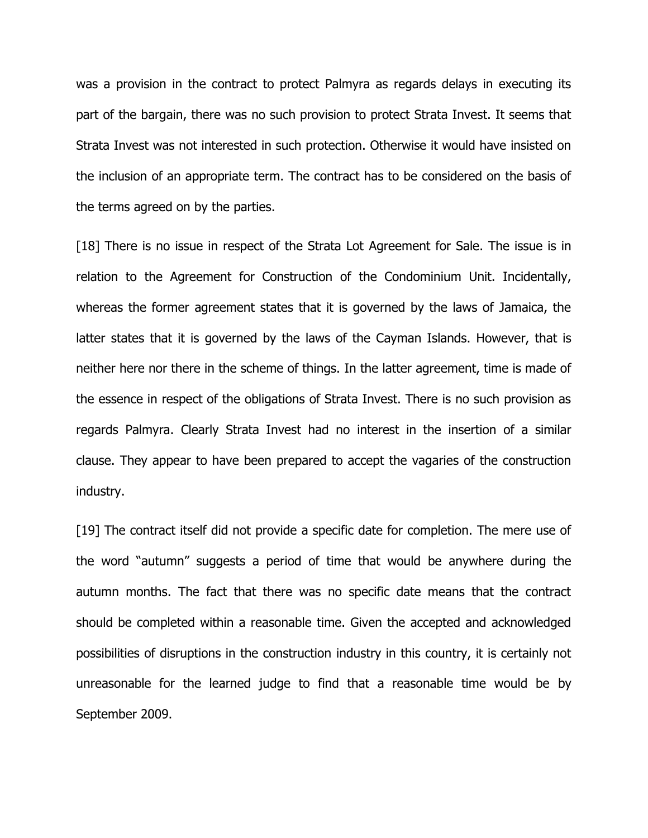was a provision in the contract to protect Palmyra as regards delays in executing its part of the bargain, there was no such provision to protect Strata Invest. It seems that Strata Invest was not interested in such protection. Otherwise it would have insisted on the inclusion of an appropriate term. The contract has to be considered on the basis of the terms agreed on by the parties.

[18] There is no issue in respect of the Strata Lot Agreement for Sale. The issue is in relation to the Agreement for Construction of the Condominium Unit. Incidentally, whereas the former agreement states that it is governed by the laws of Jamaica, the latter states that it is governed by the laws of the Cayman Islands. However, that is neither here nor there in the scheme of things. In the latter agreement, time is made of the essence in respect of the obligations of Strata Invest. There is no such provision as regards Palmyra. Clearly Strata Invest had no interest in the insertion of a similar clause. They appear to have been prepared to accept the vagaries of the construction industry.

[19] The contract itself did not provide a specific date for completion. The mere use of the word "autumn" suggests a period of time that would be anywhere during the autumn months. The fact that there was no specific date means that the contract should be completed within a reasonable time. Given the accepted and acknowledged possibilities of disruptions in the construction industry in this country, it is certainly not unreasonable for the learned judge to find that a reasonable time would be by September 2009.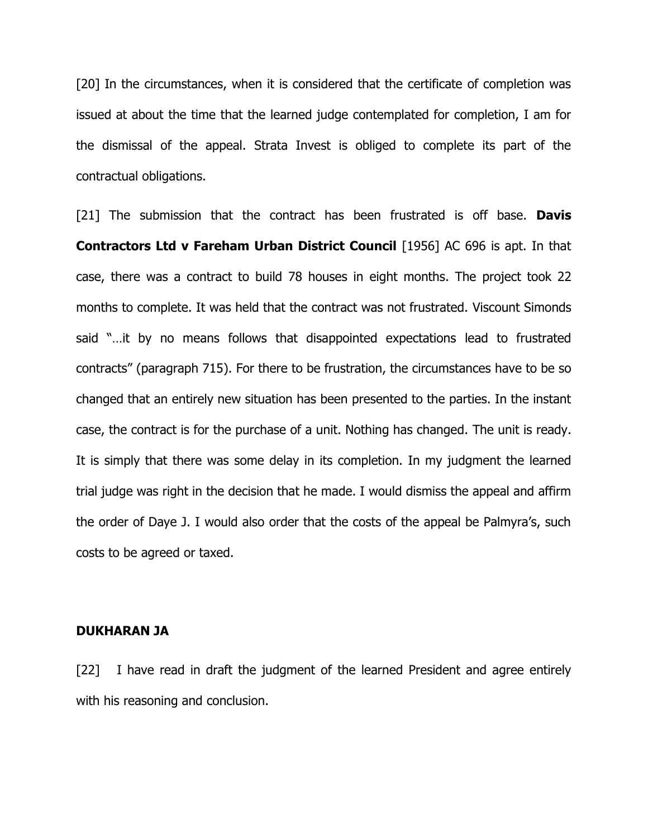[20] In the circumstances, when it is considered that the certificate of completion was issued at about the time that the learned judge contemplated for completion, I am for the dismissal of the appeal. Strata Invest is obliged to complete its part of the contractual obligations.

[21] The submission that the contract has been frustrated is off base. **Davis Contractors Ltd v Fareham Urban District Council** [1956] AC 696 is apt. In that case, there was a contract to build 78 houses in eight months. The project took 22 months to complete. It was held that the contract was not frustrated. Viscount Simonds said "…it by no means follows that disappointed expectations lead to frustrated contracts" (paragraph 715). For there to be frustration, the circumstances have to be so changed that an entirely new situation has been presented to the parties. In the instant case, the contract is for the purchase of a unit. Nothing has changed. The unit is ready. It is simply that there was some delay in its completion. In my judgment the learned trial judge was right in the decision that he made. I would dismiss the appeal and affirm the order of Daye J. I would also order that the costs of the appeal be Palmyra's, such costs to be agreed or taxed.

### **DUKHARAN JA**

[22] I have read in draft the judgment of the learned President and agree entirely with his reasoning and conclusion.